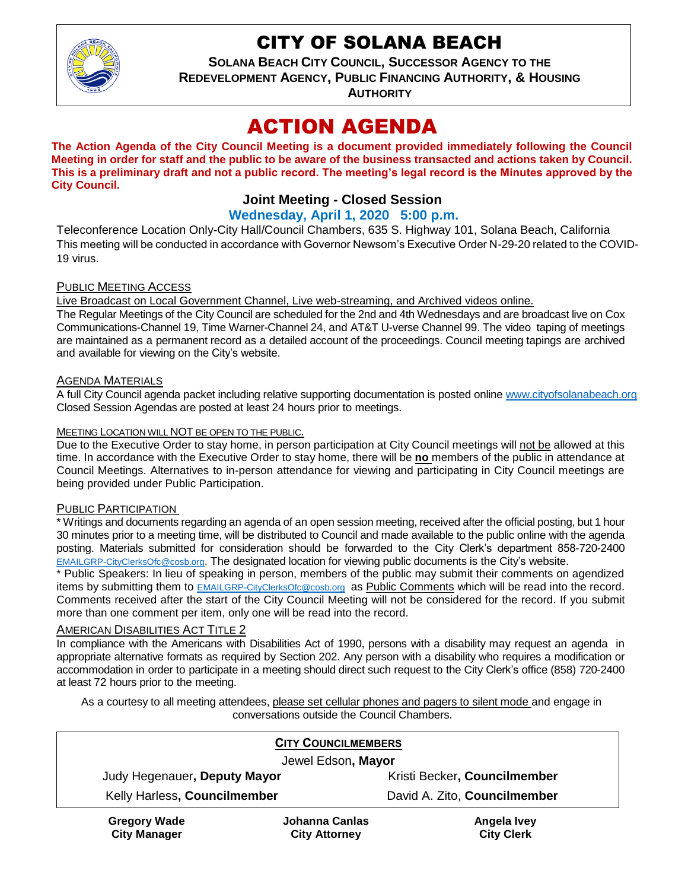

## CITY OF SOLANA BEACH

**SOLANA BEACH CITY COUNCIL, SUCCESSOR AGENCY TO THE** 

**REDEVELOPMENT AGENCY, PUBLIC FINANCING AUTHORITY, & HOUSING** 

**AUTHORITY**

# ACTION AGENDA

**The Action Agenda of the City Council Meeting is a document provided immediately following the Council Meeting in order for staff and the public to be aware of the business transacted and actions taken by Council. This is a preliminary draft and not a public record. The meeting's legal record is the Minutes approved by the City Council.**

## **Joint Meeting - Closed Session**

#### **Wednesday, April 1, 2020 5:00 p.m.**

Teleconference Location Only-City Hall/Council Chambers, 635 S. Highway 101, Solana Beach, California This meeting will be conducted in accordance with Governor Newsom's Executive Order N-29-20 related to the COVID-19 virus.

#### PUBLIC MEETING ACCESS

Live Broadcast on Local Government Channel, Live web-streaming, and Archived videos online.

The Regular Meetings of the City Council are scheduled for the 2nd and 4th Wednesdays and are broadcast live on Cox Communications-Channel 19, Time Warner-Channel 24, and AT&T U-verse Channel 99. The video taping of meetings are maintained as a permanent record as a detailed account of the proceedings. Council meeting tapings are archived and available for viewing on the City's website.

#### AGENDA MATERIALS

A full City Council agenda packet including relative supporting documentation is posted online [www.cityofsolanabeach.org](http://www.cityofsolanabeach.org/) Closed Session Agendas are posted at least 24 hours prior to meetings.

#### MEETING LOCATION WILL NOT BE OPEN TO THE PUBLIC.

Due to the Executive Order to stay home, in person participation at City Council meetings will not be allowed at this time. In accordance with the Executive Order to stay home, there will be **no** members of the public in attendance at Council Meetings. Alternatives to in-person attendance for viewing and participating in City Council meetings are being provided under Public Participation.

#### PUBLIC PARTICIPATION

\* Writings and documents regarding an agenda of an open session meeting, received after the official posting, but 1 hour 30 minutes prior to a meeting time, will be distributed to Council and made available to the public online with the agenda posting. Materials submitted for consideration should be forwarded to the City Clerk's department 858-720-2400 [EMAILGRP-CityClerksOfc@cosb.org](mailto:EMAILGRP-CityClerksOfc@cosb.org). The designated location for viewing public documents is the City's website.

\* Public Speakers: In lieu of speaking in person, members of the public may submit their comments on agendized items by submitting them to [EMAILGRP-CityClerksOfc@cosb.org](mailto:EMAILGRP-CityClerksOfc@cosb.org) as Public Comments which will be read into the record. Comments received after the start of the City Council Meeting will not be considered for the record. If you submit more than one comment per item, only one will be read into the record.

#### AMERICAN DISABILITIES ACT TITLE 2

In compliance with the Americans with Disabilities Act of 1990, persons with a disability may request an agenda in appropriate alternative formats as required by Section 202. Any person with a disability who requires a modification or accommodation in order to participate in a meeting should direct such request to the City Clerk's office (858) 720-2400 at least 72 hours prior to the meeting.

As a courtesy to all meeting attendees, please set cellular phones and pagers to silent mode and engage in conversations outside the Council Chambers.

| <b>CITY COUNCILMEMBERS</b>                 |                                        |                                  |
|--------------------------------------------|----------------------------------------|----------------------------------|
| Jewel Edson, Mayor                         |                                        |                                  |
| Judy Hegenauer, Deputy Mayor               |                                        | Kristi Becker, Councilmember     |
| Kelly Harless, Councilmember               |                                        | David A. Zito, Councilmember     |
| <b>Gregory Wade</b><br><b>City Manager</b> | Johanna Canlas<br><b>City Attorney</b> | Angela Ivey<br><b>City Clerk</b> |